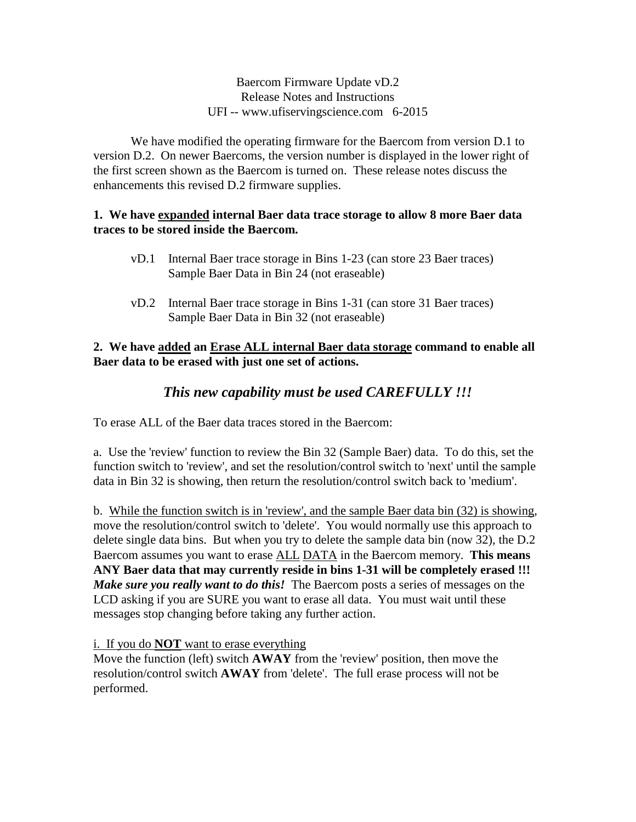Baercom Firmware Update vD.2 Release Notes and Instructions UFI -- www.ufiservingscience.com 6-2015

We have modified the operating firmware for the Baercom from version D.1 to version D.2. On newer Baercoms, the version number is displayed in the lower right of the first screen shown as the Baercom is turned on. These release notes discuss the enhancements this revised D.2 firmware supplies.

#### **1. We have expanded internal Baer data trace storage to allow 8 more Baer data traces to be stored inside the Baercom.**

- vD.1 Internal Baer trace storage in Bins 1-23 (can store 23 Baer traces) Sample Baer Data in Bin 24 (not eraseable)
- vD.2 Internal Baer trace storage in Bins 1-31 (can store 31 Baer traces) Sample Baer Data in Bin 32 (not eraseable)

### **2. We have added an Erase ALL internal Baer data storage command to enable all Baer data to be erased with just one set of actions.**

# *This new capability must be used CAREFULLY !!!*

To erase ALL of the Baer data traces stored in the Baercom:

a. Use the 'review' function to review the Bin 32 (Sample Baer) data. To do this, set the function switch to 'review', and set the resolution/control switch to 'next' until the sample data in Bin 32 is showing, then return the resolution/control switch back to 'medium'.

b. While the function switch is in 'review', and the sample Baer data bin (32) is showing, move the resolution/control switch to 'delete'. You would normally use this approach to delete single data bins. But when you try to delete the sample data bin (now 32), the D.2 Baercom assumes you want to erase ALL DATA in the Baercom memory. **This means ANY Baer data that may currently reside in bins 1-31 will be completely erased !!!** *Make sure you really want to do this!* The Baercom posts a series of messages on the LCD asking if you are SURE you want to erase all data. You must wait until these messages stop changing before taking any further action.

### i. If you do **NOT** want to erase everything

Move the function (left) switch **AWAY** from the 'review' position, then move the resolution/control switch **AWAY** from 'delete'. The full erase process will not be performed.